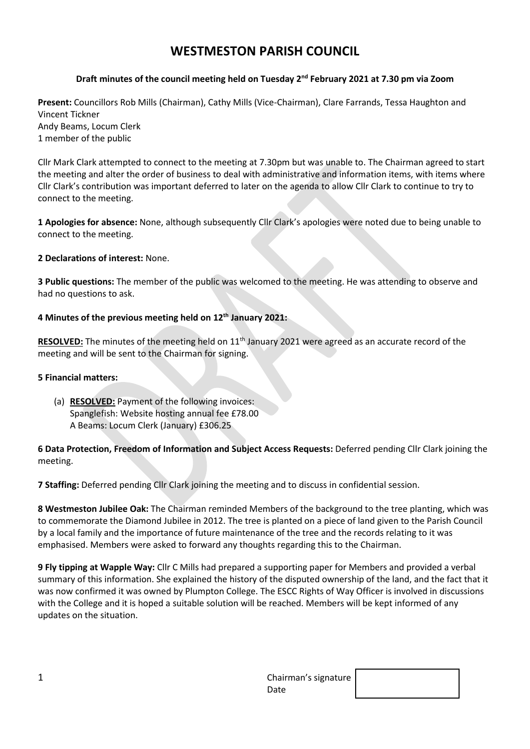# **WESTMESTON PARISH COUNCIL**

# **Draft minutes of the council meeting held on Tuesday 2 nd February 2021 at 7.30 pm via Zoom**

**Present:** Councillors Rob Mills (Chairman), Cathy Mills (Vice-Chairman), Clare Farrands, Tessa Haughton and Vincent Tickner Andy Beams, Locum Clerk 1 member of the public

Cllr Mark Clark attempted to connect to the meeting at 7.30pm but was unable to. The Chairman agreed to start the meeting and alter the order of business to deal with administrative and information items, with items where Cllr Clark's contribution was important deferred to later on the agenda to allow Cllr Clark to continue to try to connect to the meeting.

**1 Apologies for absence:** None, although subsequently Cllr Clark's apologies were noted due to being unable to connect to the meeting.

#### **2 Declarations of interest:** None.

**3 Public questions:** The member of the public was welcomed to the meeting. He was attending to observe and had no questions to ask.

## **4 Minutes of the previous meeting held on 12 th January 2021:**

RESOLVED: The minutes of the meeting held on 11<sup>th</sup> January 2021 were agreed as an accurate record of the meeting and will be sent to the Chairman for signing.

#### **5 Financial matters:**

(a) **RESOLVED:** Payment of the following invoices: Spanglefish: Website hosting annual fee £78.00 A Beams: Locum Clerk (January) £306.25

## **6 Data Protection, Freedom of Information and Subject Access Requests:** Deferred pending Cllr Clark joining the meeting.

**7 Staffing:** Deferred pending Cllr Clark joining the meeting and to discuss in confidential session.

**8 Westmeston Jubilee Oak:** The Chairman reminded Members of the background to the tree planting, which was to commemorate the Diamond Jubilee in 2012. The tree is planted on a piece of land given to the Parish Council by a local family and the importance of future maintenance of the tree and the records relating to it was emphasised. Members were asked to forward any thoughts regarding this to the Chairman.

**9 Fly tipping at Wapple Way:** Cllr C Mills had prepared a supporting paper for Members and provided a verbal summary of this information. She explained the history of the disputed ownership of the land, and the fact that it was now confirmed it was owned by Plumpton College. The ESCC Rights of Way Officer is involved in discussions with the College and it is hoped a suitable solution will be reached. Members will be kept informed of any updates on the situation.

| ∸ | Chairman's signature |  |
|---|----------------------|--|
|   | Date                 |  |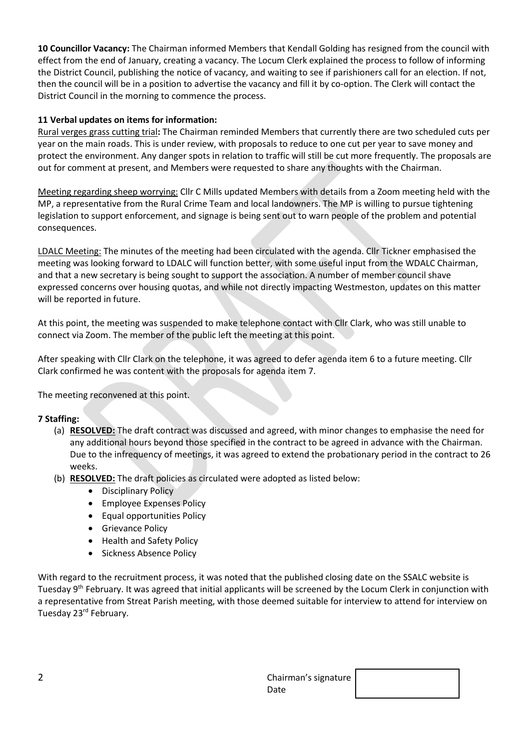**10 Councillor Vacancy:** The Chairman informed Members that Kendall Golding has resigned from the council with effect from the end of January, creating a vacancy. The Locum Clerk explained the process to follow of informing the District Council, publishing the notice of vacancy, and waiting to see if parishioners call for an election. If not, then the council will be in a position to advertise the vacancy and fill it by co-option. The Clerk will contact the District Council in the morning to commence the process.

# **11 Verbal updates on items for information:**

Rural verges grass cutting trial**:** The Chairman reminded Members that currently there are two scheduled cuts per year on the main roads. This is under review, with proposals to reduce to one cut per year to save money and protect the environment. Any danger spots in relation to traffic will still be cut more frequently. The proposals are out for comment at present, and Members were requested to share any thoughts with the Chairman.

Meeting regarding sheep worrying: Cllr C Mills updated Members with details from a Zoom meeting held with the MP, a representative from the Rural Crime Team and local landowners. The MP is willing to pursue tightening legislation to support enforcement, and signage is being sent out to warn people of the problem and potential consequences.

LDALC Meeting: The minutes of the meeting had been circulated with the agenda. Cllr Tickner emphasised the meeting was looking forward to LDALC will function better, with some useful input from the WDALC Chairman, and that a new secretary is being sought to support the association. A number of member council shave expressed concerns over housing quotas, and while not directly impacting Westmeston, updates on this matter will be reported in future.

At this point, the meeting was suspended to make telephone contact with Cllr Clark, who was still unable to connect via Zoom. The member of the public left the meeting at this point.

After speaking with Cllr Clark on the telephone, it was agreed to defer agenda item 6 to a future meeting. Cllr Clark confirmed he was content with the proposals for agenda item 7.

The meeting reconvened at this point.

## **7 Staffing:**

- (a) **RESOLVED:** The draft contract was discussed and agreed, with minor changes to emphasise the need for any additional hours beyond those specified in the contract to be agreed in advance with the Chairman. Due to the infrequency of meetings, it was agreed to extend the probationary period in the contract to 26 weeks.
- (b) **RESOLVED:** The draft policies as circulated were adopted as listed below:
	- Disciplinary Policy
	- Employee Expenses Policy
	- Equal opportunities Policy
	- Grievance Policy
	- Health and Safety Policy
	- Sickness Absence Policy

With regard to the recruitment process, it was noted that the published closing date on the SSALC website is Tuesday 9<sup>th</sup> February. It was agreed that initial applicants will be screened by the Locum Clerk in conjunction with a representative from Streat Parish meeting, with those deemed suitable for interview to attend for interview on Tuesday 23rd February.

| ∽<br>ے | Chairman's signature |  |
|--------|----------------------|--|
|        | Date                 |  |